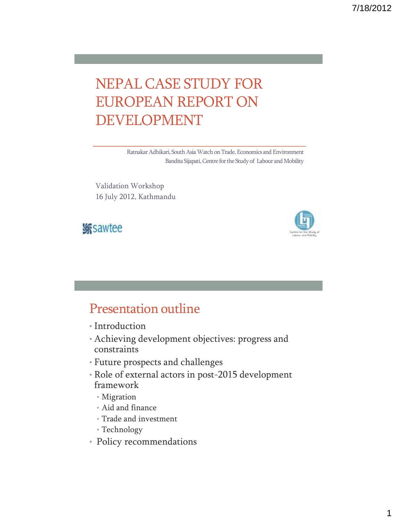### NEPAL CASE STUDY FOR EUROPEAN REPORT ON DEVELOPMENT

Ratnakar Adhikari, South Asia Watch on Trade, Economics and Environment Bandita Sijapati, Centre for the Study of Labour and Mobility

Validation Workshop 16 July 2012, Kathmandu





### Presentation outline

- Introduction
- Achieving development objectives: progress and constraints
- Future prospects and challenges
- Role of external actors in post-2015 development framework
	- Migration
	- Aid and finance
	- Trade and investment
	- Technology
- Policy recommendations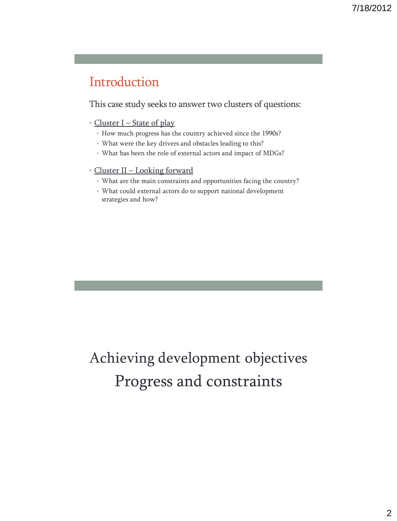### Introduction

This case study seeks to answer two clusters of questions:

#### • Cluster I – State of play

- How much progress has the country achieved since the 1990s?
- What were the key drivers and obstacles leading to this?
- What has been the role of external actors and impact of MDGs?

#### • Cluster II – Looking forward

- What are the main constraints and opportunities facing the country?
- What could external actors do to support national development strategies and how?

## Achieving development objectives Progress and constraints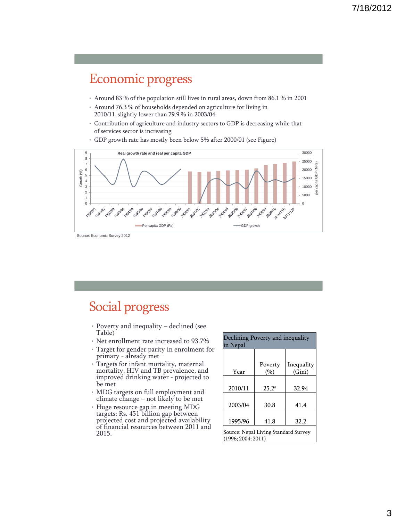### Economic progress

- Around 83 % of the population still lives in rural areas, down from 86.1 % in 2001
- Around 76.3 % of households depended on agriculture for living in 2010/11, slightly lower than 79.9 % in 2003/04.
- Contribution of agriculture and industry sectors to GDP is decreasing while that of services sector is increasing
- 30000 9 **Real growth rate and real per capita GDP** 8 25000 (NRs) 7 per capita GDP (NRs) 6 20000 Growth (%) GDP 5 15000 4 capita 3 10000 2 per 5000 1 0 10  $\overline{0}$ 2009/10 2010 - 2014 2011/128 2006/07 2007/08 2009/09 1991/92 2001/02 2002/03 2009/04 2004/05 2005/06 1-992193 1993/94 A goalgis 1995/96 1998/97 11 1981 1998/99 1999/00 2000/01 Per capita GDP (Rs) GDP growth
- GDP growth rate has mostly been below 5% after 2000/01 (see Figure)

Source: Economic Survey 2012

### Social progress

- Poverty and inequality declined (see Table)
- Net enrollment rate increased to 93.7%
- Target for gender parity in enrolment for primary - already met
- Targets for infant mortality, maternal mortality, HIV and TB prevalence, and improved drinking water - projected to be met
- MDG targets on full employment and climate change – not likely to be met
- Huge resource gap in meeting MDG targets: Rs. 451 billion gap between projected cost and projected availability of financial resources between 2011 and 2015.

| Declining Poverty and inequality<br>in Nepal               |                |                      |
|------------------------------------------------------------|----------------|----------------------|
| Year                                                       | Poverty<br>(%) | Inequality<br>(Gini) |
| 2010/11                                                    | $25.2*$        | 32.94                |
| 2003/04                                                    | 30.8           | 41.4                 |
| 1995/96                                                    | 41.8           | 32.2                 |
| Source: Nepal Living Standard Survey<br>(1996; 2004; 2011) |                |                      |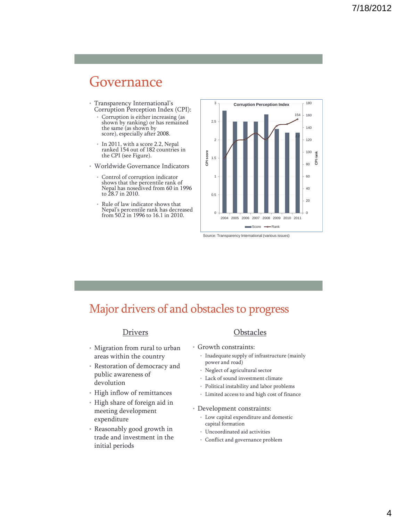### Governance

- Transparency International's Corruption Perception Index (CPI):
	- Corruption is either increasing (as shown by ranking) or has remained the same (as shown by score), especially after 2008.
	- In 2011, with a score 2.2, Nepal ranked 154 out of 182 countries in the CPI (see Figure).
- Worldwide Governance Indicators
	- Control of corruption indicator shows that the percentile rank of Nepal has nosedived from 60 in 1996 to 28.7 in 2010.
	- Rule of law indicator shows that Nepal's percentile rank has decreased from 50.2 in 1996 to 16.1 in 2010.



Source: Transparency International (various issues)

### Major drivers of and obstacles to progress

#### Drivers

- Migration from rural to urban areas within the country
- Restoration of democracy and public awareness of devolution
- High inflow of remittances
- High share of foreign aid in meeting development expenditure
- Reasonably good growth in trade and investment in the initial periods

#### **Obstacles**

- Growth constraints:
	- Inadequate supply of infrastructure (mainly power and road)
	- Neglect of agricultural sector
	- Lack of sound investment climate
	- Political instability and labor problems
	- Limited access to and high cost of finance
- Development constraints:
	- Low capital expenditure and domestic capital formation
	- Uncoordinated aid activities
	- Conflict and governance problem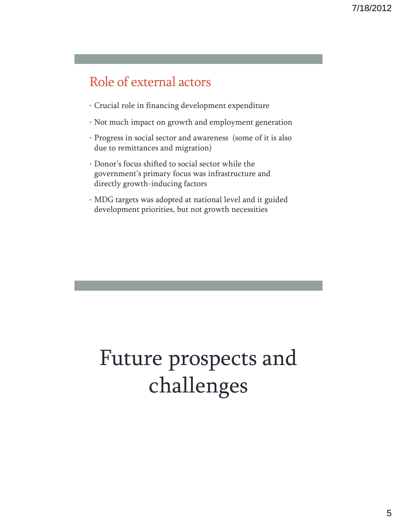### Role of external actors

- Crucial role in financing development expenditure
- Not much impact on growth and employment generation
- Progress in social sector and awareness (some of it is also due to remittances and migration)
- Donor's focus shifted to social sector while the government's primary focus was infrastructure and directly growth-inducing factors
- MDG targets was adopted at national level and it guided development priorities, but not growth necessities

# Future prospects and challenges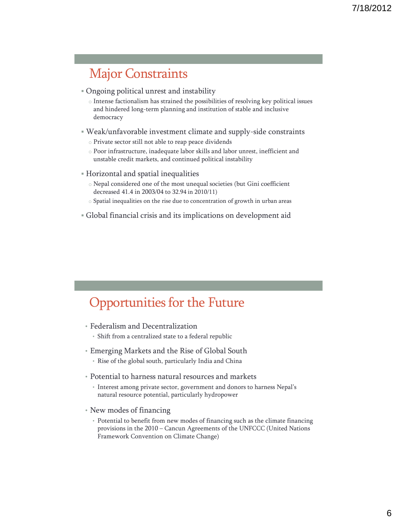### Major Constraints

- Ongoing political unrest and instability
	- o Intense factionalism has strained the possibilities of resolving key political issues and hindered long-term planning and institution of stable and inclusive democracy
- Weak/unfavorable investment climate and supply-side constraints
	- o Private sector still not able to reap peace dividends
	- o Poor infrastructure, inadequate labor skills and labor unrest, inefficient and unstable credit markets, and continued political instability
- Horizontal and spatial inequalities
	- o Nepal considered one of the most unequal societies (but Gini coefficient decreased 41.4 in 2003/04 to 32.94 in 2010/11)
	- o Spatial inequalities on the rise due to concentration of growth in urban areas
- Global financial crisis and its implications on development aid

### Opportunities for the Future

- Federalism and Decentralization
	- Shift from a centralized state to a federal republic
- Emerging Markets and the Rise of Global South
	- Rise of the global south, particularly India and China
- Potential to harness natural resources and markets
	- Interest among private sector, government and donors to harness Nepal's natural resource potential, particularly hydropower
- New modes of financing
	- Potential to benefit from new modes of financing such as the climate financing provisions in the 2010 – Cancun Agreements of the UNFCCC (United Nations Framework Convention on Climate Change)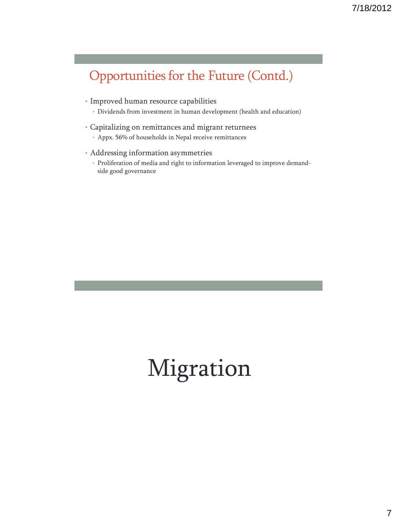### Opportunities for the Future (Contd.)

- Improved human resource capabilities
	- Dividends from investment in human development (health and education)
- Capitalizing on remittances and migrant returnees
	- Appx. 56% of households in Nepal receive remittances
- Addressing information asymmetries
	- Proliferation of media and right to information leveraged to improve demandside good governance

# Migration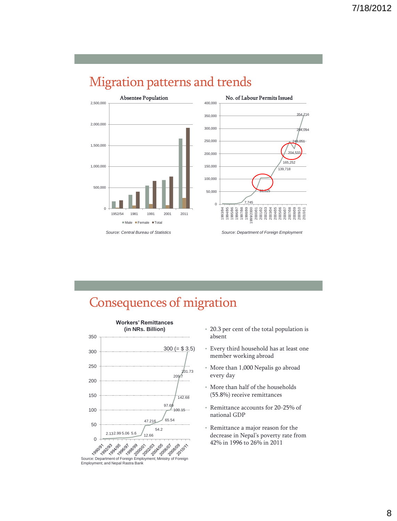





### Consequences of migration



- 20.3 per cent of the total population is absent
- Every third household has at least one member working abroad
- More than 1,000 Nepalis go abroad every day
- More than half of the households (55.8%) receive remittances
- Remittance accounts for 20-25% of national GDP
- Remittance a major reason for the decrease in Nepal's poverty rate from 42% in 1996 to 26% in 2011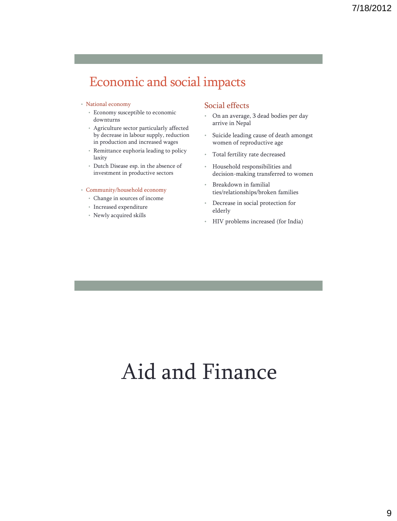### Economic and social impacts

#### • National economy

- Economy susceptible to economic downturns
- Agriculture sector particularly affected by decrease in labour supply, reduction in production and increased wages
- Remittance euphoria leading to policy laxity
- Dutch Disease esp. in the absence of investment in productive sectors

#### • Community/household economy

- Change in sources of income
- Increased expenditure
- Newly acquired skills

#### Social effects

- On an average, 3 dead bodies per day arrive in Nepal
- Suicide leading cause of death amongst women of reproductive age
- Total fertility rate decreased
- Household responsibilities and decision-making transferred to women
- Breakdown in familial ties/relationships/broken families
- Decrease in social protection for elderly
- HIV problems increased (for India)

# Aid and Finance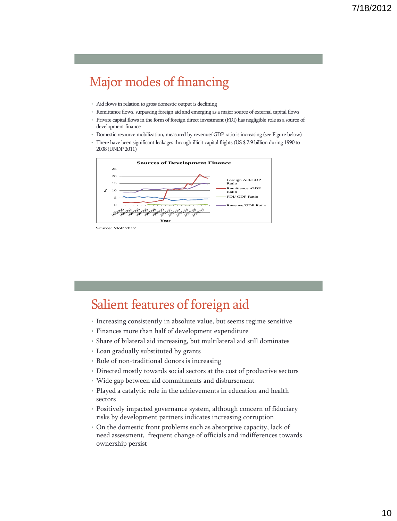### Major modes of financing

- Aid flows in relation to gross domestic output is declining
- Remittance flows, surpassing foreign aid and emerging as a major source of external capital flows
- Private capital flows in the form of foreign direct investment (FDI) has negligible role as a source of development finance
- Domestic resource mobilization, measured by revenue/ GDP ratio is increasing (see Figure below)
- There have been significant leakages through illicit capital flights (US \$ 7.9 billion during 1990 to 2008 (UNDP 2011)



Source: MoF 2012

### Salient features of foreign aid

- Increasing consistently in absolute value, but seems regime sensitive
- Finances more than half of development expenditure
- Share of bilateral aid increasing, but multilateral aid still dominates
- Loan gradually substituted by grants
- Role of non-traditional donors is increasing
- Directed mostly towards social sectors at the cost of productive sectors
- Wide gap between aid commitments and disbursement
- Played a catalytic role in the achievements in education and health sectors
- Positively impacted governance system, although concern of fiduciary risks by development partners indicates increasing corruption
- On the domestic front problems such as absorptive capacity, lack of need assessment, frequent change of officials and indifferences towards ownership persist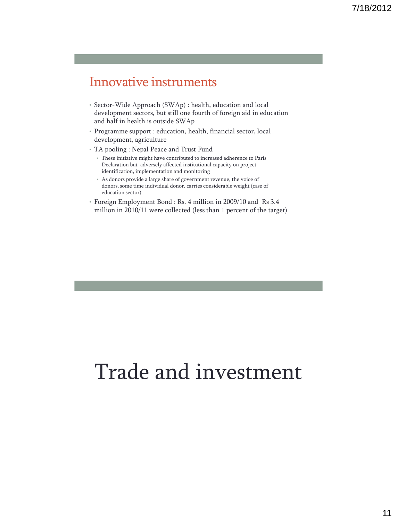### Innovative instruments

- Sector-Wide Approach (SWAp) : health, education and local development sectors, but still one fourth of foreign aid in education and half in health is outside SWAp
- Programme support : education, health, financial sector, local development, agriculture
- TA pooling : Nepal Peace and Trust Fund
	- These initiative might have contributed to increased adherence to Paris Declaration but adversely affected institutional capacity on project identification, implementation and monitoring
	- As donors provide a large share of government revenue, the voice of donors, some time individual donor, carries considerable weight (case of education sector)
- Foreign Employment Bond : Rs. 4 million in 2009/10 and Rs 3.4 million in 2010/11 were collected (less than 1 percent of the target)

# Trade and investment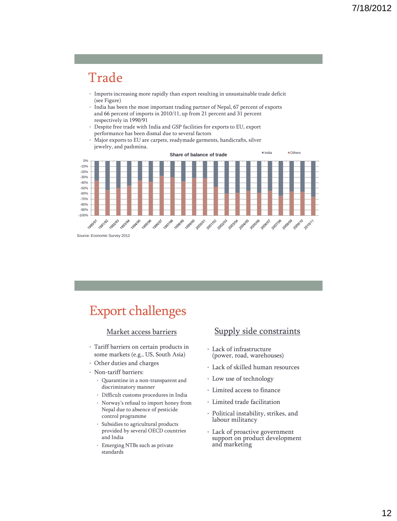### Trade

- Imports increasing more rapidly than export resulting in unsustainable trade deficit (see Figure)
- India has been the most important trading partner of Nepal, 67 percent of exports and 66 percent of imports in 2010/11, up from 21 percent and 31 percent respectively in 1990/91
- Despite free trade with India and GSP facilities for exports to EU, export performance has been dismal due to several factors
- Major exports to EU are carpets, readymade garments, handicrafts, silver jewelry, and pashmina.



### Export challenges

#### Market access barriers

- Tariff barriers on certain products in some markets (e.g., US, South Asia)
- Other duties and charges
- Non-tariff barriers:
	- Quarantine in a non-transparent and discriminatory manner
	- Difficult customs procedures in India
	- Norway's refusal to import honey from Nepal due to absence of pesticide control programme
	- Subsidies to agricultural products provided by several OECD countries and India
	- Emerging NTBs such as private standards

#### Supply side constraints

- Lack of infrastructure (power, road, warehouses)
- Lack of skilled human resources
- Low use of technology
- Limited access to finance
- Limited trade facilitation
- Political instability, strikes, and labour militancy
- Lack of proactive government support on product development and marketing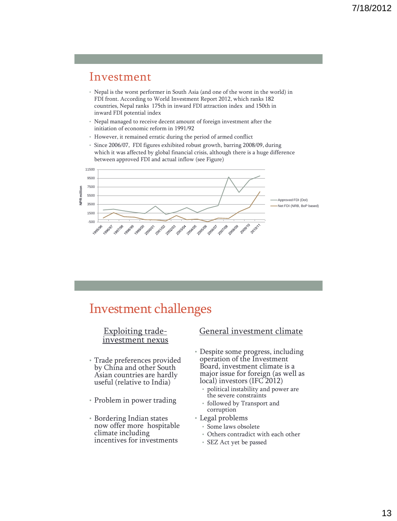### Investment

- Nepal is the worst performer in South Asia (and one of the worst in the world) in FDI front. According to World Investment Report 2012, which ranks 182 countries, Nepal ranks 175th in inward FDI attraction index and 150th in inward FDI potential index
- Nepal managed to receive decent amount of foreign investment after the initiation of economic reform in 1991/92
- However, it remained erratic during the period of armed conflict
- Since 2006/07, FDI figures exhibited robust growth, barring 2008/09, during which it was affected by global financial crisis, although there is a huge difference between approved FDI and actual inflow (see Figure)



### Investment challenges

#### Exploiting tradeinvestment nexus

- Trade preferences provided by China and other South Asian countries are hardly useful (relative to India)
- Problem in power trading
- Bordering Indian states now offer more hospitable climate including incentives for investments

#### General investment climate

- Despite some progress, including operation of the Investment Board, investment climate is a major issue for foreign (as well as local) investors (IFC 2012)
	- political instability and power are the severe constraints
	- followed by Transport and corruption
- Legal problems
	- Some laws obsolete
	- Others contradict with each other
	- SEZ Act yet be passed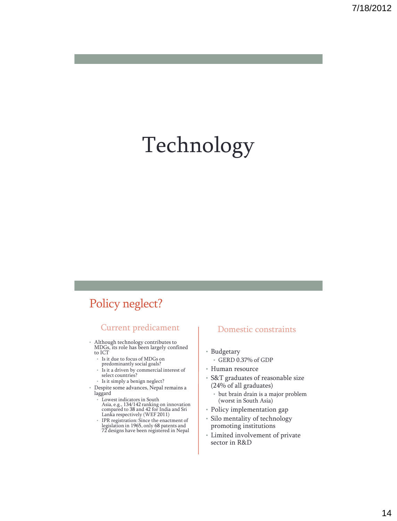# Technology

### Policy neglect?

#### Current predicament

- Although technology contributes to MDGs, its role has been largely confined to ICT
	- Is it due to focus of MDGs on predominantly social goals?
	- Is it a driven by commercial interest of select countries?
	- Is it simply a benign neglect?
- Despite some advances, Nepal remains a laggard
	- Lowest indicators in South Asia, e.g., 134/142 ranking on innovation compared to 38 and 42 for India and Sri Lanka respectively (WEF 2011)
	- IPR registration: Since the enactment of legislation in 1965, only 68 patents and 72 designs have been registered in Nepal

#### Domestic constraints

- Budgetary
	- GERD 0.37% of GDP
- Human resource
- S&T graduates of reasonable size (24% of all graduates)
	- but brain drain is a major problem (worst in South Asia)
- Policy implementation gap
- Silo mentality of technology promoting institutions
- Limited involvement of private sector in R&D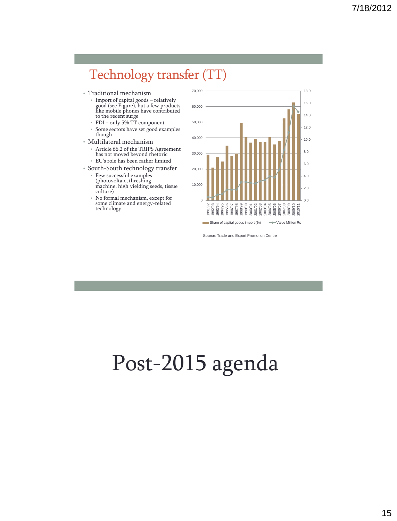### Technology transfer (TT)

- Traditional mechanism
	- Import of capital goods relatively good (see Figure), but a few products like mobile phones have contributed to the recent surge
	- FDI only 5% TT component Some sectors have set good examples though
- Multilateral mechanism
- Article 66.2 of the TRIPS Agreement has not moved beyond rhetoric • EU's role has been rather limited
- South-South technology transfer
	- Few successful examples (photovoltaic, threshing machine, high yielding seeds, tissue culture)
	- No formal mechanism, except for some climate and energy-related technology



Source: Trade and Export Promotion Centre

# Post-2015 agenda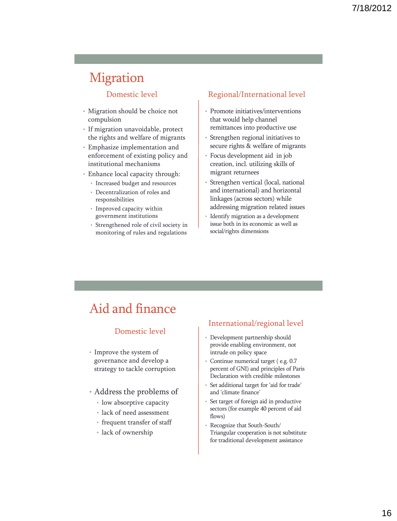### Migration

#### Domestic level

- Migration should be choice not compulsion
- If migration unavoidable, protect the rights and welfare of migrants
- Emphasize implementation and enforcement of existing policy and institutional mechanisms
- Enhance local capacity through:
	- Increased budget and resources
	- Decentralization of roles and responsibilities
	- Improved capacity within government institutions
	- Strengthened role of civil society in monitoring of rules and regulations

#### Regional/International level

- Promote initiatives/interventions that would help channel remittances into productive use
- Strengthen regional initiatives to secure rights & welfare of migrants
- Focus development aid in job creation, incl. utilizing skills of migrant returnees
- Strengthen vertical (local, national and international) and horizontal linkages (across sectors) while addressing migration related issues
- Identify migration as a development issue both in its economic as well as social/rights dimensions

### Aid and finance

#### Domestic level

- Improve the system of governance and develop a strategy to tackle corruption
- Address the problems of
	- low absorptive capacity
	- lack of need assessment
	- frequent transfer of staff
	- lack of ownership

#### International/regional level

- Development partnership should provide enabling environment, not intrude on policy space
- Continue numerical target ( e.g. 0.7 percent of GNI) and principles of Paris Declaration with credible milestones
- Set additional target for 'aid for trade' and 'climate finance'
- Set target of foreign aid in productive sectors (for example 40 percent of aid flows)
- Recognize that South-South/ Triangular cooperation is not substitute for traditional development assistance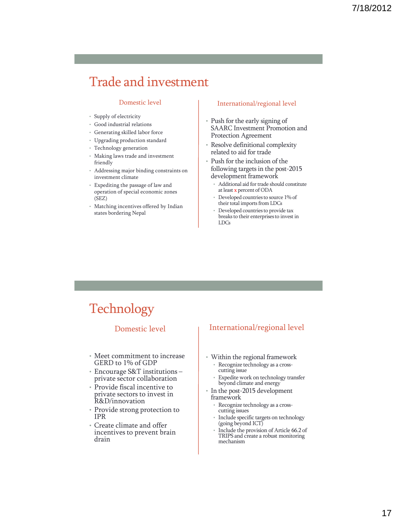### Trade and investment

#### Domestic level

- Supply of electricity
- Good industrial relations
- Generating skilled labor force
- Upgrading production standard
- Technology generation
- Making laws trade and investment friendly
- Addressing major binding constraints on investment climate
- Expediting the passage of law and operation of special economic zones (SEZ)
- Matching incentives offered by Indian states bordering Nepal

#### International/regional level

- Push for the early signing of SAARC Investment Promotion and Protection Agreement
- Resolve definitional complexity related to aid for trade
- Push for the inclusion of the following targets in the post-2015 development framework
	- Additional aid for trade should constitute at least x percent of ODA
	- Developed countries to source 1% of their total imports from LDCs
	- Developed countries to provide tax breaks to their enterprises to invest in LDCs

### **Technology**

#### Domestic level

- Meet commitment to increase GERD to 1% of GDP
- Encourage S&T institutions private sector collaboration
- Provide fiscal incentive to private sectors to invest in R&D/innovation
- Provide strong protection to IPR
- Create climate and offer incentives to prevent brain drain

#### International/regional level

- Within the regional framework Recognize technology as a cross
	- cutting issue Expedite work on technology transfer
- beyond climate and energy • In the post-2015 development
- framework
	- Recognize technology as a crosscutting issues
- Include specific targets on technology (going beyond ICT)
- Include the provision of Article 66.2 of TRIPS and create a robust monitoring mechanism